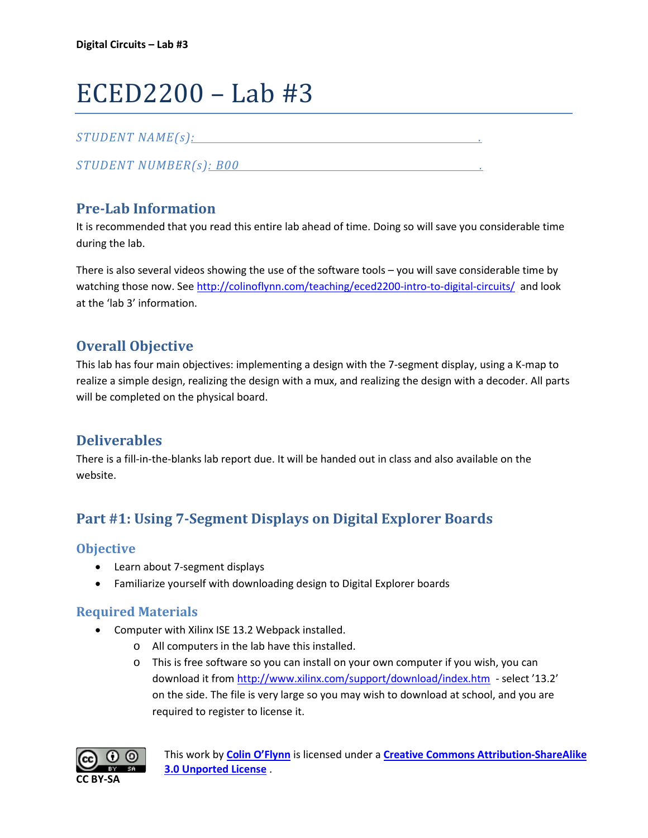# ECED2200 – Lab #3

#### *STUDENT NAME(s): .*

*STUDENT NUMBER(s): B00 .* 

## **Pre-Lab Information**

It is recommended that you read this entire lab ahead of time. Doing so will save you considerable time during the lab.

There is also several videos showing the use of the software tools – you will save considerable time by watching those now. See<http://colinoflynn.com/teaching/eced2200-intro-to-digital-circuits/> and look at the 'lab 3' information.

## **Overall Objective**

This lab has four main objectives: implementing a design with the 7-segment display, using a K-map to realize a simple design, realizing the design with a mux, and realizing the design with a decoder. All parts will be completed on the physical board.

## **Deliverables**

There is a fill-in-the-blanks lab report due. It will be handed out in class and also available on the website.

# **Part #1: Using 7-Segment Displays on Digital Explorer Boards**

#### **Objective**

- Learn about 7-segment displays
- Familiarize yourself with downloading design to Digital Explorer boards

#### **Required Materials**

- Computer with Xilinx ISE 13.2 Webpack installed.
	- o All computers in the lab have this installed.
	- o This is free software so you can install on your own computer if you wish, you can download it from<http://www.xilinx.com/support/download/index.htm>- select '13.2' on the side. The file is very large so you may wish to download at school, and you are required to register to license it.

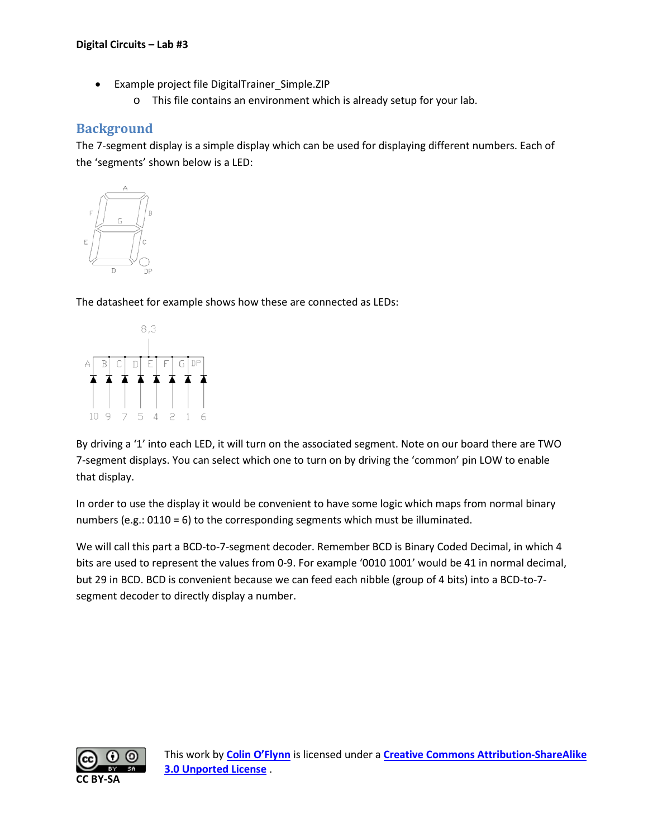- Example project file DigitalTrainer\_Simple.ZIP
	- o This file contains an environment which is already setup for your lab.

## **Background**

The 7-segment display is a simple display which can be used for displaying different numbers. Each of the 'segments' shown below is a LED:



The datasheet for example shows how these are connected as LEDs:



By driving a '1' into each LED, it will turn on the associated segment. Note on our board there are TWO 7-segment displays. You can select which one to turn on by driving the 'common' pin LOW to enable that display.

In order to use the display it would be convenient to have some logic which maps from normal binary numbers (e.g.: 0110 = 6) to the corresponding segments which must be illuminated.

We will call this part a BCD-to-7-segment decoder. Remember BCD is Binary Coded Decimal, in which 4 bits are used to represent the values from 0-9. For example '0010 1001' would be 41 in normal decimal, but 29 in BCD. BCD is convenient because we can feed each nibble (group of 4 bits) into a BCD-to-7 segment decoder to directly display a number.

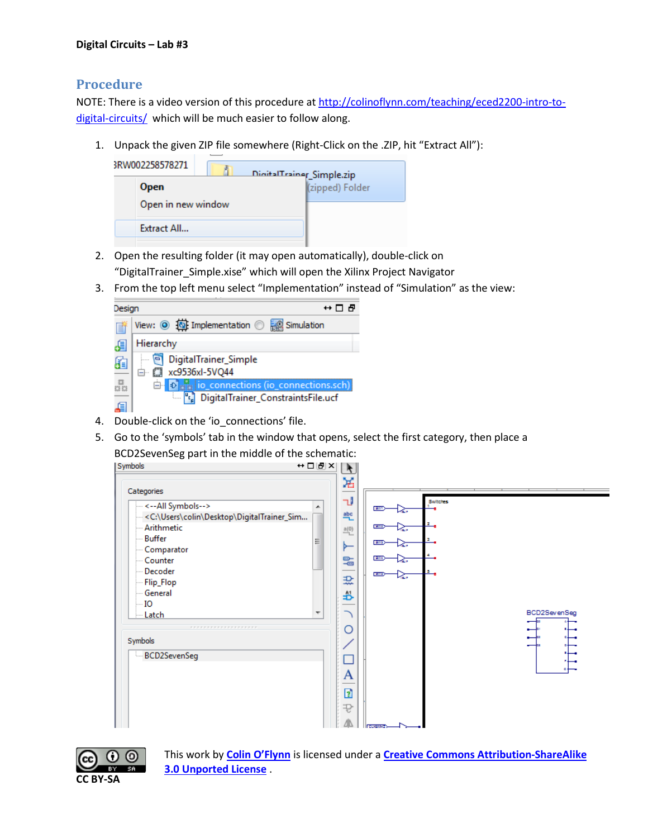#### **Procedure**

NOTE: There is a video version of this procedure at [http://colinoflynn.com/teaching/eced2200-intro-to](http://colinoflynn.com/teaching/eced2200-intro-to-digital-circuits/)[digital-circuits/](http://colinoflynn.com/teaching/eced2200-intro-to-digital-circuits/) which will be much easier to follow along.

1. Unpack the given ZIP file somewhere (Right-Click on the .ZIP, hit "Extract All"):



- 2. Open the resulting folder (it may open automatically), double-click on "DigitalTrainer\_Simple.xise" which will open the Xilinx Project Navigator
- 3. From the top left menu select "Implementation" instead of "Simulation" as the view:



- 4. Double-click on the 'io connections' file.
- 5. Go to the 'symbols' tab in the window that opens, select the first category, then place a BCD2SevenSeg part in the middle of the schematic:

| Symbols                                                                                                                                                                                                                                                                                                          | $H \Box$                      |                                                                     |                                                                                                            |                   |
|------------------------------------------------------------------------------------------------------------------------------------------------------------------------------------------------------------------------------------------------------------------------------------------------------------------|-------------------------------|---------------------------------------------------------------------|------------------------------------------------------------------------------------------------------------|-------------------|
| Categories                                                                                                                                                                                                                                                                                                       |                               | ж                                                                   |                                                                                                            |                   |
| <--All Symbols--><br><c:\users\colin\desktop\digitaltrainer_sim<br>Arithmetic<br/><b>Buffer</b><br/>-- Comparator<br/>-- Counter<br/>Decoder<br/>Flip_Flop<br/>General<br/><math>\overline{\phantom{a}}</math> IO<br/>-- Latch<br/>.<br/>Symbols<br/>BCD2SevenSeg</c:\users\colin\desktop\digitaltrainer_sim<br> | ▴<br>$\overline{\phantom{a}}$ | ٦J<br>≞<br>$\frac{a(0)}{2}$<br>►<br>믴<br>괐<br>B<br>O<br>А<br>7<br>₽ | Switches<br>SW1><br>ستنهدا<br><b>SIVE</b><br>تتميتها<br>ana-<br>تتمكن<br>300<br>27<br><b>Since</b><br>-چنا | BCD2SevenSeg<br>Ŧ |

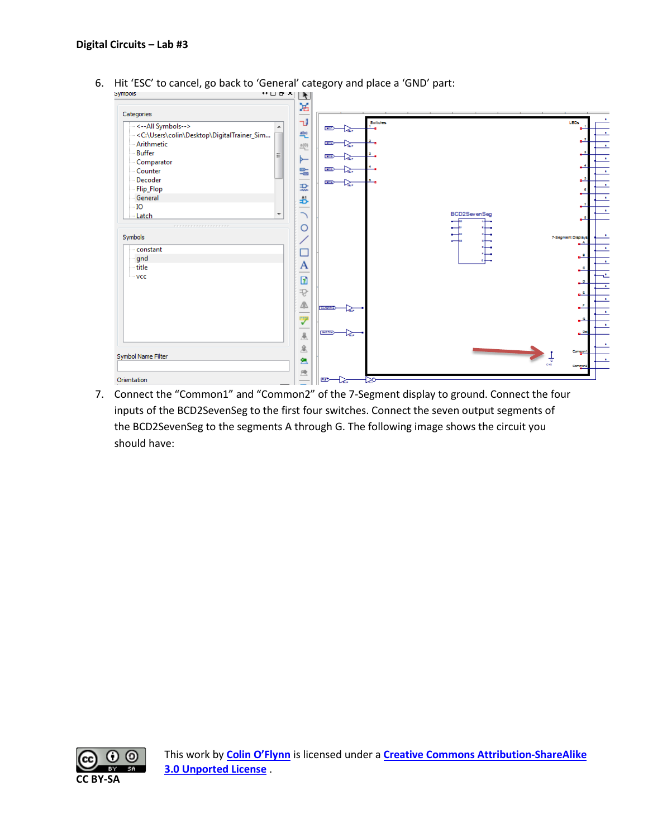6. Hit 'ESC' to cancel, go back to 'General' category and place a 'GND' part:<br> $\frac{1}{2}$ 



7. Connect the "Common1" and "Common2" of the 7-Segment display to ground. Connect the four inputs of the BCD2SevenSeg to the first four switches. Connect the seven output segments of the BCD2SevenSeg to the segments A through G. The following image shows the circuit you should have:

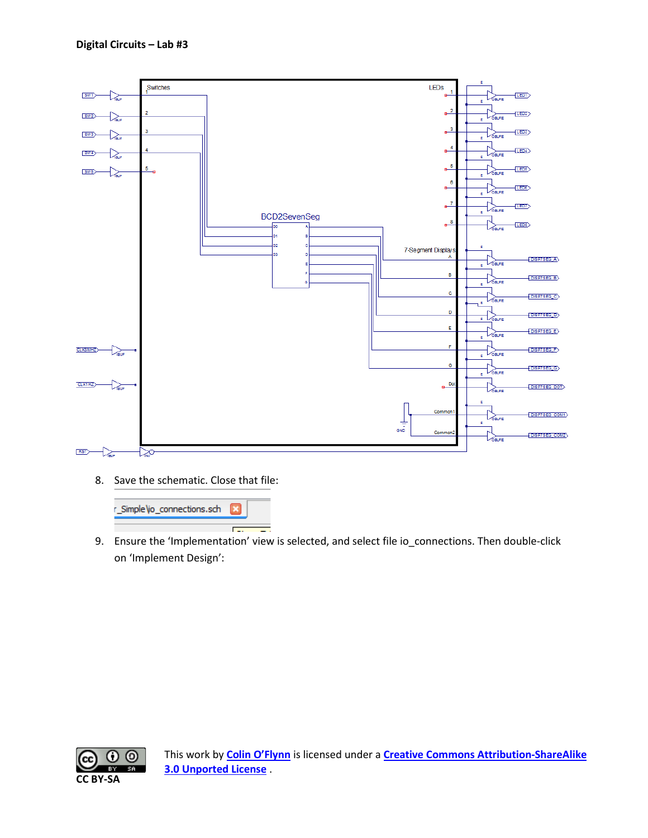

8. Save the schematic. Close that file:



9. Ensure the 'Implementation' view is selected, and select file io\_connections. Then double-click on 'Implement Design':

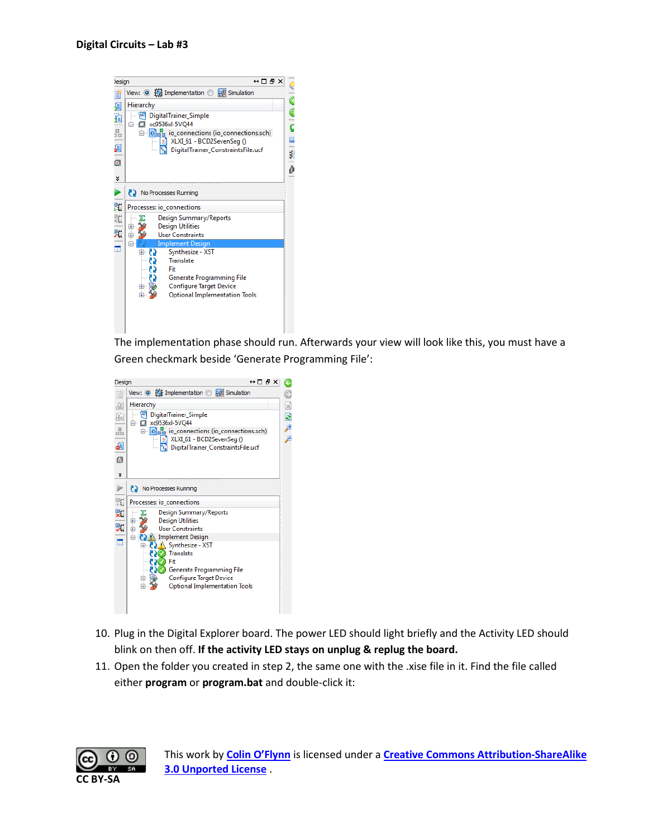

The implementation phase should run. Afterwards your view will look like this, you must have a Green checkmark beside 'Generate Programming File':



- 10. Plug in the Digital Explorer board. The power LED should light briefly and the Activity LED should blink on then off. **If the activity LED stays on unplug & replug the board.**
- 11. Open the folder you created in step 2, the same one with the .xise file in it. Find the file called either **program** or **program.bat** and double-click it:

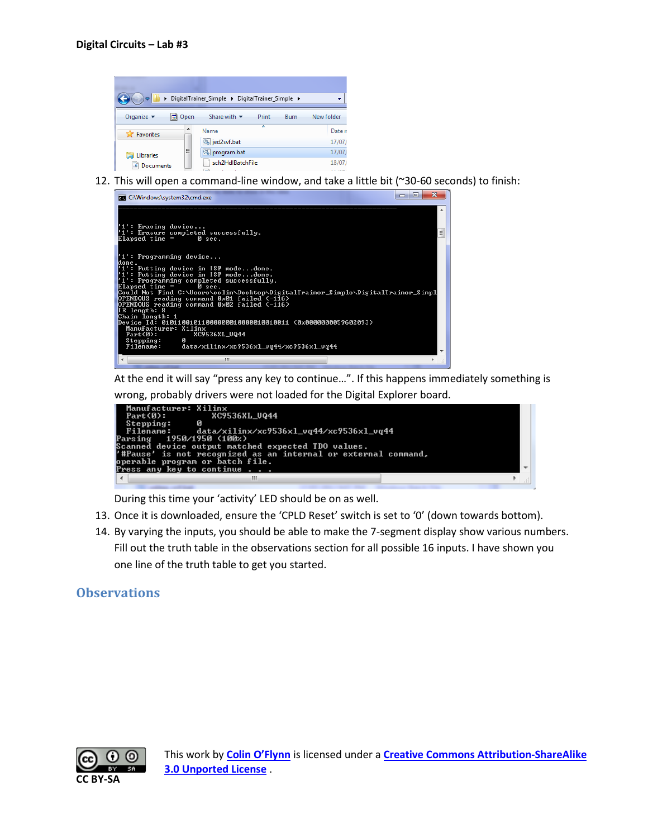

12. This will open a command-line window, and take a little bit (~30-60 seconds) to finish:



At the end it will say "press any key to continue…". If this happens immediately something is wrong, probably drivers were not loaded for the Digital Explorer board.



During this time your 'activity' LED should be on as well.

- 13. Once it is downloaded, ensure the 'CPLD Reset' switch is set to '0' (down towards bottom).
- 14. By varying the inputs, you should be able to make the 7-segment display show various numbers. Fill out the truth table in the observations section for all possible 16 inputs. I have shown you one line of the truth table to get you started.

#### **Observations**

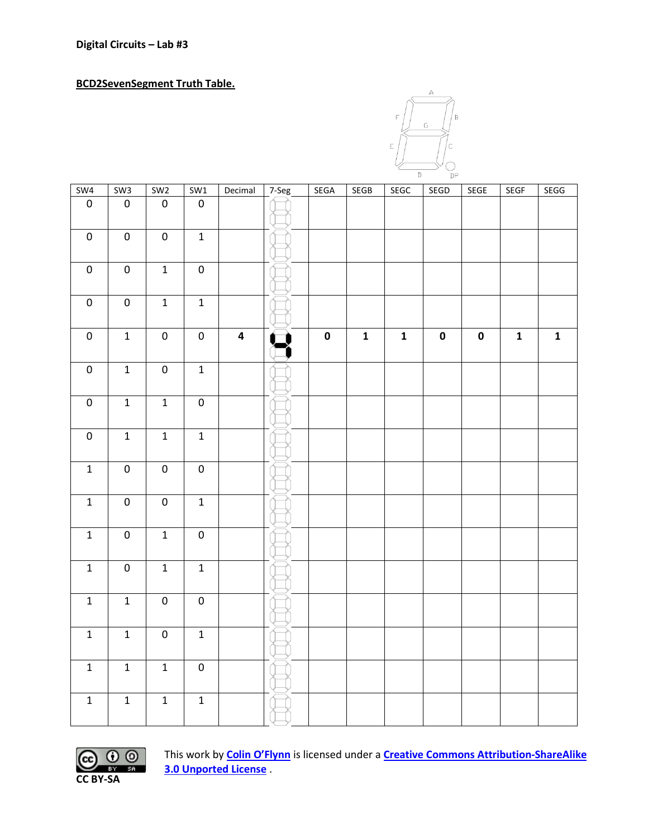**BCD2SevenSegment Truth Table.**



| SW4              | SW3            | SW <sub>2</sub>  | SW1            | Decimal                 | 7-Seg | <b>SEGA</b> | <b>SEGB</b>  | SEGC         | SEGD      | SEGE      | <b>SEGF</b> | <b>SEGG</b> |
|------------------|----------------|------------------|----------------|-------------------------|-------|-------------|--------------|--------------|-----------|-----------|-------------|-------------|
| $\pmb{0}$        | $\pmb{0}$      | $\pmb{0}$        | $\pmb{0}$      |                         |       |             |              |              |           |           |             |             |
| $\pmb{0}$        | $\overline{0}$ | $\overline{0}$   | $\overline{1}$ |                         |       |             |              |              |           |           |             |             |
| $\pmb{0}$        | $\pmb{0}$      | $\overline{1}$   | $\pmb{0}$      |                         |       |             |              |              |           |           |             |             |
| $\overline{0}$   | $\overline{0}$ | $\overline{1}$   | $\overline{1}$ |                         |       |             |              |              |           |           |             |             |
| $\pmb{0}$        | $\mathbf{1}$   | $\boldsymbol{0}$ | $\pmb{0}$      | $\overline{\mathbf{4}}$ |       | $\pmb{0}$   | $\mathbf{1}$ | $\mathbf{1}$ | $\pmb{0}$ | $\pmb{0}$ | $\mathbf 1$ | $\mathbf 1$ |
| $\overline{0}$   | $\overline{1}$ | $\overline{0}$   | $\overline{1}$ |                         |       |             |              |              |           |           |             |             |
| $\pmb{0}$        | $\mathbf 1$    | $\mathbf 1$      | $\pmb{0}$      |                         |       |             |              |              |           |           |             |             |
| $\boldsymbol{0}$ | $\mathbf 1$    | $\mathbf 1$      | $\mathbf 1$    |                         |       |             |              |              |           |           |             |             |
| $\mathbf 1$      | $\pmb{0}$      | $\pmb{0}$        | $\pmb{0}$      |                         |       |             |              |              |           |           |             |             |
| $\mathbf 1$      | $\pmb{0}$      | $\pmb{0}$        | $\mathbf 1$    |                         |       |             |              |              |           |           |             |             |
| $\overline{1}$   | $\pmb{0}$      | $\overline{1}$   | $\pmb{0}$      |                         |       |             |              |              |           |           |             |             |
| $\mathbf 1$      | $\pmb{0}$      | $\mathbf 1$      | $\mathbf 1$    |                         |       |             |              |              |           |           |             |             |
| $\overline{1}$   | $\overline{1}$ | $\overline{0}$   | $\overline{0}$ |                         |       |             |              |              |           |           |             |             |
| $\mathbf 1$      | $\mathbf 1$    | $\pmb{0}$        | $\mathbf 1$    |                         |       |             |              |              |           |           |             |             |
| $\mathbf{1}$     | $\overline{1}$ | $\overline{1}$   | $\pmb{0}$      |                         |       |             |              |              |           |           |             |             |
| $\mathbf 1$      | $\mathbf 1$    | $\mathbf 1$      | $\mathbf 1$    |                         |       |             |              |              |           |           |             |             |

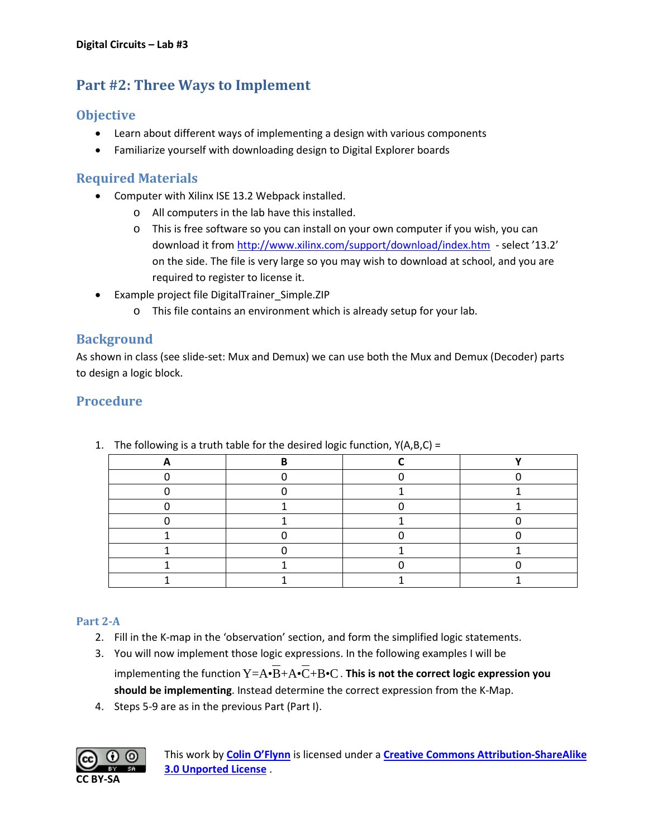## **Part #2: Three Ways to Implement**

## **Objective**

- Learn about different ways of implementing a design with various components
- Familiarize yourself with downloading design to Digital Explorer boards

#### **Required Materials**

- Computer with Xilinx ISE 13.2 Webpack installed.
	- o All computers in the lab have this installed.
	- o This is free software so you can install on your own computer if you wish, you can download it from<http://www.xilinx.com/support/download/index.htm>- select '13.2' on the side. The file is very large so you may wish to download at school, and you are required to register to license it.
- Example project file DigitalTrainer\_Simple.ZIP
	- o This file contains an environment which is already setup for your lab.

#### **Background**

As shown in class (see slide-set: Mux and Demux) we can use both the Mux and Demux (Decoder) parts to design a logic block.

## **Procedure**

1. The following is a truth table for the desired logic function,  $Y(A,B,C) =$ 

#### **Part 2-A**

- 2. Fill in the K-map in the 'observation' section, and form the simplified logic statements.
- 3. You will now implement those logic expressions. In the following examples I will be implementing the function  $Y = A \cdot \overline{B} + A \cdot \overline{C} + B \cdot C$ . This is not the correct logic expression you **should be implementing**. Instead determine the correct expression from the K-Map.
- 4. Steps 5-9 are as in the previous Part (Part I).

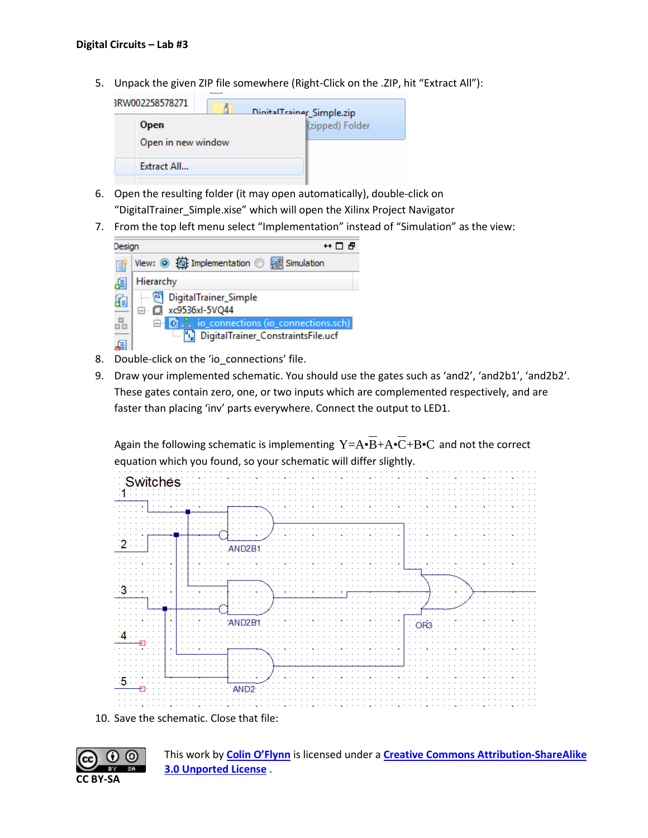5. Unpack the given ZIP file somewhere (Right-Click on the .ZIP, hit "Extract All"):

| 3RW002258578271    | DigitalTrainer_Simple.zip |                 |
|--------------------|---------------------------|-----------------|
| <b>Open</b>        |                           | (zipped) Folder |
| Open in new window |                           |                 |
| Extract All        |                           |                 |
|                    |                           |                 |

- 6. Open the resulting folder (it may open automatically), double-click on "DigitalTrainer\_Simple.xise" which will open the Xilinx Project Navigator
- 7. From the top left menu select "Implementation" instead of "Simulation" as the view:



- 8. Double-click on the 'io connections' file.
- 9. Draw your implemented schematic. You should use the gates such as 'and2', 'and2b1', 'and2b2'. These gates contain zero, one, or two inputs which are complemented respectively, and are faster than placing 'inv' parts everywhere. Connect the output to LED1.

Again the following schematic is implementing  $Y=A\cdot\overline{B}+A\cdot\overline{C}+B\cdot C$  and not the correct equation which you found, so your schematic will differ slightly.



10. Save the schematic. Close that file:

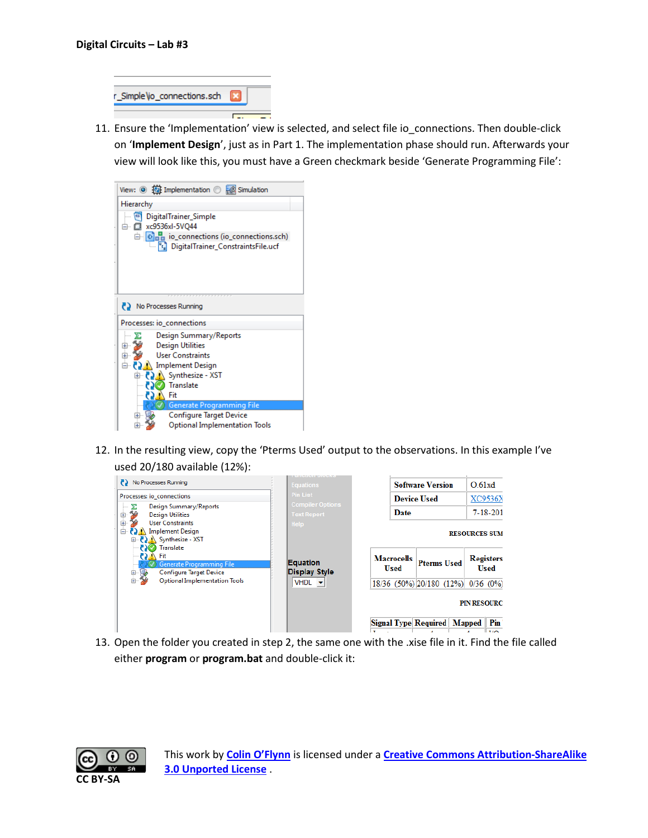| r_Simple\io_connections.sch |  |
|-----------------------------|--|
|                             |  |

11. Ensure the 'Implementation' view is selected, and select file io\_connections. Then double-click on '**Implement Design**', just as in Part 1. The implementation phase should run. Afterwards your view will look like this, you must have a Green checkmark beside 'Generate Programming File':

| View: $\circledcirc$ $\circledcircledcirc$ Implementation $\circledcirc$ $\circledcircledcircledcirc$ Simulation |
|------------------------------------------------------------------------------------------------------------------|
| Hierarchy                                                                                                        |
| DigitalTrainer_Simple<br>o<br>白 【 xc9536xl-5VQ44<br>$\Box$ $\Box$ $\Box$ io_connections (io_connections.sch)     |
| DigitalTrainer_ConstraintsFile.ucf                                                                               |
|                                                                                                                  |
| No Processes Running<br>Processes: io_connections                                                                |
| Design Summary/Reports                                                                                           |
| <b>Design Utilities</b>                                                                                          |
| <b>User Constraints</b><br>中                                                                                     |
| ⊟– (?) A Implement Design                                                                                        |
| <b>E</b> ₹ XST                                                                                                   |
| Translate                                                                                                        |
| Fit                                                                                                              |
| Generate Programming File<br><b>Configure Target Device</b>                                                      |
| <b>Optional Implementation Tools</b>                                                                             |
|                                                                                                                  |

12. In the resulting view, copy the 'Pterms Used' output to the observations. In this example I've used 20/180 available (12%):



13. Open the folder you created in step 2, the same one with the .xise file in it. Find the file called either **program** or **program.bat** and double-click it:

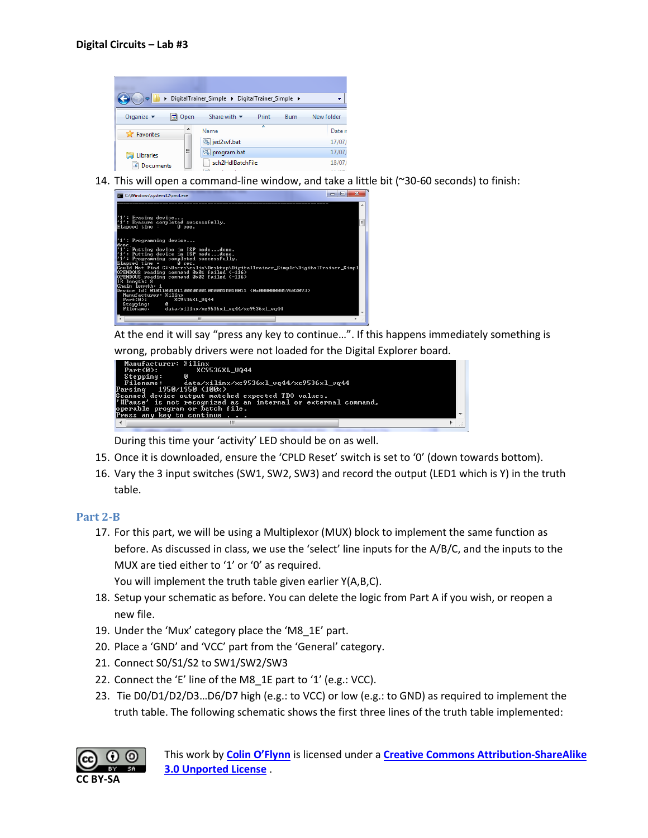

14. This will open a command-line window, and take a little bit (~30-60 seconds) to finish:



At the end it will say "press any key to continue…". If this happens immediately something is

wrong, probably drivers were not loaded for the Digital Explorer board.



During this time your 'activity' LED should be on as well.

- 15. Once it is downloaded, ensure the 'CPLD Reset' switch is set to '0' (down towards bottom).
- 16. Vary the 3 input switches (SW1, SW2, SW3) and record the output (LED1 which is Y) in the truth table.

#### **Part 2-B**

17. For this part, we will be using a Multiplexor (MUX) block to implement the same function as before. As discussed in class, we use the 'select' line inputs for the A/B/C, and the inputs to the MUX are tied either to '1' or '0' as required.

You will implement the truth table given earlier Y(A,B,C).

- 18. Setup your schematic as before. You can delete the logic from Part A if you wish, or reopen a new file.
- 19. Under the 'Mux' category place the 'M8\_1E' part.
- 20. Place a 'GND' and 'VCC' part from the 'General' category.
- 21. Connect S0/S1/S2 to SW1/SW2/SW3
- 22. Connect the 'E' line of the M8\_1E part to '1' (e.g.: VCC).
- 23. Tie D0/D1/D2/D3…D6/D7 high (e.g.: to VCC) or low (e.g.: to GND) as required to implement the truth table. The following schematic shows the first three lines of the truth table implemented:

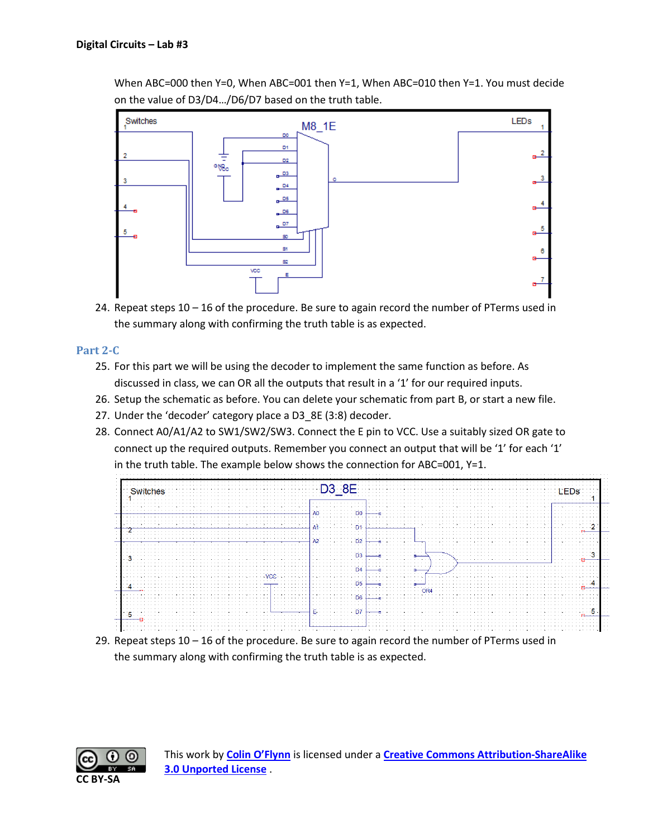When ABC=000 then Y=0, When ABC=001 then Y=1, When ABC=010 then Y=1. You must decide on the value of D3/D4…/D6/D7 based on the truth table.



24. Repeat steps 10 – 16 of the procedure. Be sure to again record the number of PTerms used in the summary along with confirming the truth table is as expected.

#### **Part 2-C**

- 25. For this part we will be using the decoder to implement the same function as before. As discussed in class, we can OR all the outputs that result in a '1' for our required inputs.
- 26. Setup the schematic as before. You can delete your schematic from part B, or start a new file.
- 27. Under the 'decoder' category place a D3\_8E (3:8) decoder.
- 28. Connect A0/A1/A2 to SW1/SW2/SW3. Connect the E pin to VCC. Use a suitably sized OR gate to connect up the required outputs. Remember you connect an output that will be '1' for each '1' in the truth table. The example below shows the connection for ABC=001, Y=1.



29. Repeat steps 10 – 16 of the procedure. Be sure to again record the number of PTerms used in the summary along with confirming the truth table is as expected.

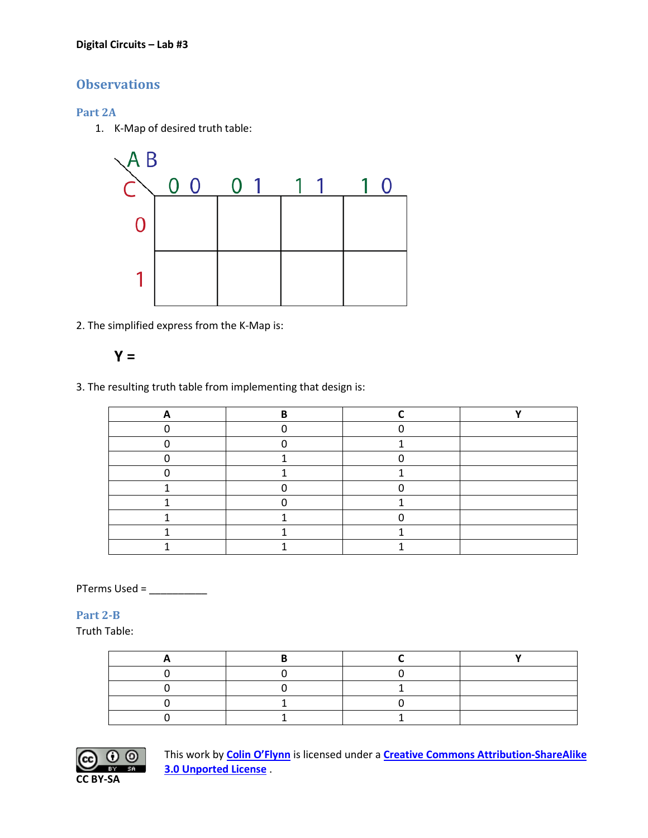#### **Digital Circuits – Lab #3**

## **Observations**

#### **Part 2A**

1. K-Map of desired truth table:



2. The simplified express from the K-Map is:

$$
\mathbf{Y} =
$$

3. The resulting truth table from implementing that design is:

PTerms Used = \_\_\_\_\_\_\_\_\_\_

#### **Part 2-B**

Truth Table: